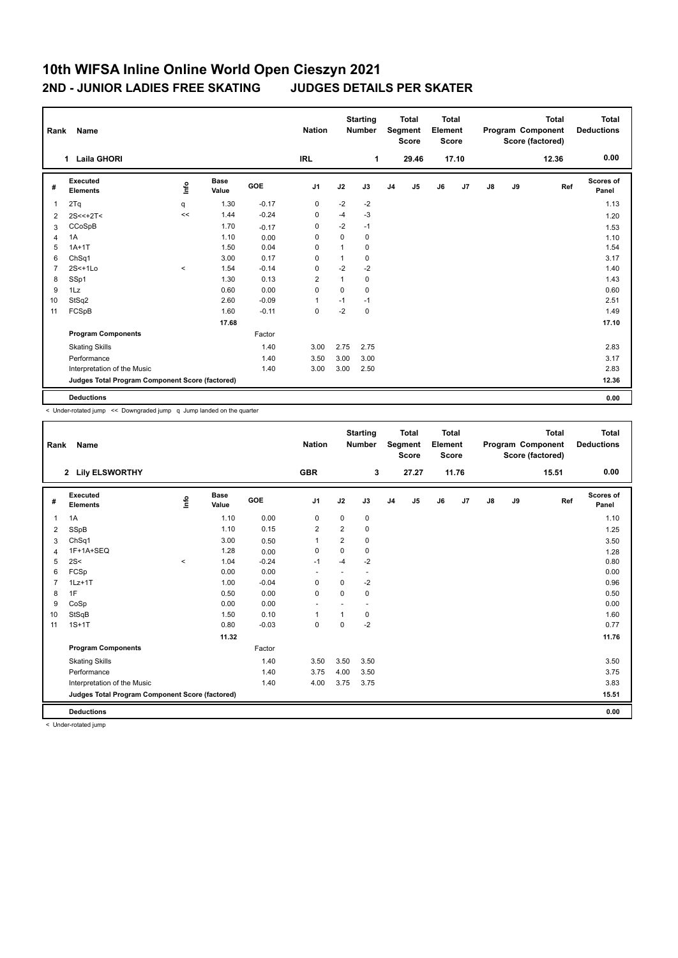## **10th WIFSA Inline Online World Open Cieszyn 2021 2ND - JUNIOR LADIES FREE SKATING JUDGES DETAILS PER SKATER**

| Rank           | Name                                            |         |                      |            | <b>Nation</b>  |              | <b>Starting</b><br><b>Number</b> |                | <b>Total</b><br>Segment<br><b>Score</b> | <b>Total</b><br>Element<br><b>Score</b> |                |    |    | <b>Total</b><br>Program Component<br>Score (factored) | <b>Total</b><br><b>Deductions</b> |
|----------------|-------------------------------------------------|---------|----------------------|------------|----------------|--------------|----------------------------------|----------------|-----------------------------------------|-----------------------------------------|----------------|----|----|-------------------------------------------------------|-----------------------------------|
|                | <b>Laila GHORI</b><br>$\mathbf 1$               |         |                      |            | <b>IRL</b>     |              | 1                                |                | 29.46                                   |                                         | 17.10          |    |    | 12.36                                                 | 0.00                              |
| #              | <b>Executed</b><br><b>Elements</b>              | lnfo    | <b>Base</b><br>Value | <b>GOE</b> | J <sub>1</sub> | J2           | J3                               | J <sub>4</sub> | J5                                      | J6                                      | J <sub>7</sub> | J8 | J9 | Ref                                                   | <b>Scores of</b><br>Panel         |
| 1              | 2Tq                                             | q       | 1.30                 | $-0.17$    | $\mathbf 0$    | $-2$         | $-2$                             |                |                                         |                                         |                |    |    |                                                       | 1.13                              |
| 2              | $2S < +2T <$                                    | <<      | 1.44                 | $-0.24$    | 0              | $-4$         | $-3$                             |                |                                         |                                         |                |    |    |                                                       | 1.20                              |
| 3              | CCoSpB                                          |         | 1.70                 | $-0.17$    | $\mathbf 0$    | $-2$         | $-1$                             |                |                                         |                                         |                |    |    |                                                       | 1.53                              |
| 4              | 1A                                              |         | 1.10                 | 0.00       | 0              | $\mathbf 0$  | 0                                |                |                                         |                                         |                |    |    |                                                       | 1.10                              |
| 5              | $1A+1T$                                         |         | 1.50                 | 0.04       | 0              | 1            | 0                                |                |                                         |                                         |                |    |    |                                                       | 1.54                              |
| 6              | ChSq1                                           |         | 3.00                 | 0.17       | 0              | 1            | 0                                |                |                                         |                                         |                |    |    |                                                       | 3.17                              |
| $\overline{7}$ | $2S<+1Lo$                                       | $\prec$ | 1.54                 | $-0.14$    | 0              | $-2$         | $-2$                             |                |                                         |                                         |                |    |    |                                                       | 1.40                              |
| 8              | SSp1                                            |         | 1.30                 | 0.13       | $\overline{2}$ | $\mathbf{1}$ | 0                                |                |                                         |                                         |                |    |    |                                                       | 1.43                              |
| 9              | 1Lz                                             |         | 0.60                 | 0.00       | $\mathbf 0$    | $\mathbf 0$  | 0                                |                |                                         |                                         |                |    |    |                                                       | 0.60                              |
| 10             | StSq2                                           |         | 2.60                 | $-0.09$    | $\overline{1}$ | $-1$         | $-1$                             |                |                                         |                                         |                |    |    |                                                       | 2.51                              |
| 11             | FCSpB                                           |         | 1.60                 | $-0.11$    | $\mathbf 0$    | $-2$         | 0                                |                |                                         |                                         |                |    |    |                                                       | 1.49                              |
|                |                                                 |         | 17.68                |            |                |              |                                  |                |                                         |                                         |                |    |    |                                                       | 17.10                             |
|                | <b>Program Components</b>                       |         |                      | Factor     |                |              |                                  |                |                                         |                                         |                |    |    |                                                       |                                   |
|                | <b>Skating Skills</b>                           |         |                      | 1.40       | 3.00           | 2.75         | 2.75                             |                |                                         |                                         |                |    |    |                                                       | 2.83                              |
|                | Performance                                     |         |                      | 1.40       | 3.50           | 3.00         | 3.00                             |                |                                         |                                         |                |    |    |                                                       | 3.17                              |
|                | Interpretation of the Music                     |         |                      | 1.40       | 3.00           | 3.00         | 2.50                             |                |                                         |                                         |                |    |    |                                                       | 2.83                              |
|                | Judges Total Program Component Score (factored) |         |                      |            |                |              |                                  |                |                                         |                                         |                |    |    |                                                       | 12.36                             |
|                | <b>Deductions</b>                               |         |                      |            |                |              |                                  |                |                                         |                                         |                |    |    |                                                       | 0.00                              |

< Under-rotated jump << Downgraded jump q Jump landed on the quarter

| Rank           | Name                                            |          |                      |            | <b>Nation</b>            |                | <b>Starting</b><br><b>Number</b> |                | <b>Total</b><br>Segment<br><b>Score</b> | <b>Total</b><br>Element<br><b>Score</b> |       |    |    | <b>Total</b><br>Program Component<br>Score (factored) | <b>Total</b><br><b>Deductions</b> |
|----------------|-------------------------------------------------|----------|----------------------|------------|--------------------------|----------------|----------------------------------|----------------|-----------------------------------------|-----------------------------------------|-------|----|----|-------------------------------------------------------|-----------------------------------|
|                | 2 Lily ELSWORTHY                                |          |                      |            | <b>GBR</b>               |                | 3                                |                | 27.27                                   |                                         | 11.76 |    |    | 15.51                                                 | 0.00                              |
| #              | <b>Executed</b><br><b>Elements</b>              | lnfo     | <b>Base</b><br>Value | <b>GOE</b> | J <sub>1</sub>           | J2             | J3                               | J <sub>4</sub> | J5                                      | J6                                      | J7    | J8 | J9 | Ref                                                   | <b>Scores of</b><br>Panel         |
| 1              | 1A                                              |          | 1.10                 | 0.00       | $\mathbf 0$              | $\mathbf 0$    | 0                                |                |                                         |                                         |       |    |    |                                                       | 1.10                              |
| 2              | SSpB                                            |          | 1.10                 | 0.15       | $\overline{2}$           | $\overline{2}$ | 0                                |                |                                         |                                         |       |    |    |                                                       | 1.25                              |
| 3              | ChSq1                                           |          | 3.00                 | 0.50       | 1                        | $\overline{2}$ | 0                                |                |                                         |                                         |       |    |    |                                                       | 3.50                              |
| 4              | 1F+1A+SEQ                                       |          | 1.28                 | 0.00       | $\mathbf 0$              | $\mathbf 0$    | 0                                |                |                                         |                                         |       |    |    |                                                       | 1.28                              |
| 5              | 2S<                                             | $\hat{}$ | 1.04                 | $-0.24$    | $-1$                     | $-4$           | $-2$                             |                |                                         |                                         |       |    |    |                                                       | 0.80                              |
| 6              | FCSp                                            |          | 0.00                 | 0.00       | $\overline{\phantom{a}}$ |                | $\overline{\phantom{a}}$         |                |                                         |                                         |       |    |    |                                                       | 0.00                              |
| $\overline{7}$ | $1Lz+1T$                                        |          | 1.00                 | $-0.04$    | $\mathbf 0$              | $\Omega$       | $-2$                             |                |                                         |                                         |       |    |    |                                                       | 0.96                              |
| 8              | 1F                                              |          | 0.50                 | 0.00       | $\mathbf 0$              | $\Omega$       | 0                                |                |                                         |                                         |       |    |    |                                                       | 0.50                              |
| 9              | CoSp                                            |          | 0.00                 | 0.00       | $\overline{\phantom{a}}$ |                | $\overline{\phantom{a}}$         |                |                                         |                                         |       |    |    |                                                       | 0.00                              |
| 10             | StSqB                                           |          | 1.50                 | 0.10       | 1                        |                | 0                                |                |                                         |                                         |       |    |    |                                                       | 1.60                              |
| 11             | $1S+1T$                                         |          | 0.80                 | $-0.03$    | $\mathbf 0$              | $\Omega$       | $-2$                             |                |                                         |                                         |       |    |    |                                                       | 0.77                              |
|                |                                                 |          | 11.32                |            |                          |                |                                  |                |                                         |                                         |       |    |    |                                                       | 11.76                             |
|                | <b>Program Components</b>                       |          |                      | Factor     |                          |                |                                  |                |                                         |                                         |       |    |    |                                                       |                                   |
|                | <b>Skating Skills</b>                           |          |                      | 1.40       | 3.50                     | 3.50           | 3.50                             |                |                                         |                                         |       |    |    |                                                       | 3.50                              |
|                | Performance                                     |          |                      | 1.40       | 3.75                     | 4.00           | 3.50                             |                |                                         |                                         |       |    |    |                                                       | 3.75                              |
|                | Interpretation of the Music                     |          |                      | 1.40       | 4.00                     | 3.75           | 3.75                             |                |                                         |                                         |       |    |    |                                                       | 3.83                              |
|                | Judges Total Program Component Score (factored) |          |                      |            |                          |                |                                  |                |                                         |                                         |       |    |    |                                                       | 15.51                             |
|                | <b>Deductions</b>                               |          |                      |            |                          |                |                                  |                |                                         |                                         |       |    |    |                                                       | 0.00                              |

< Under-rotated jump